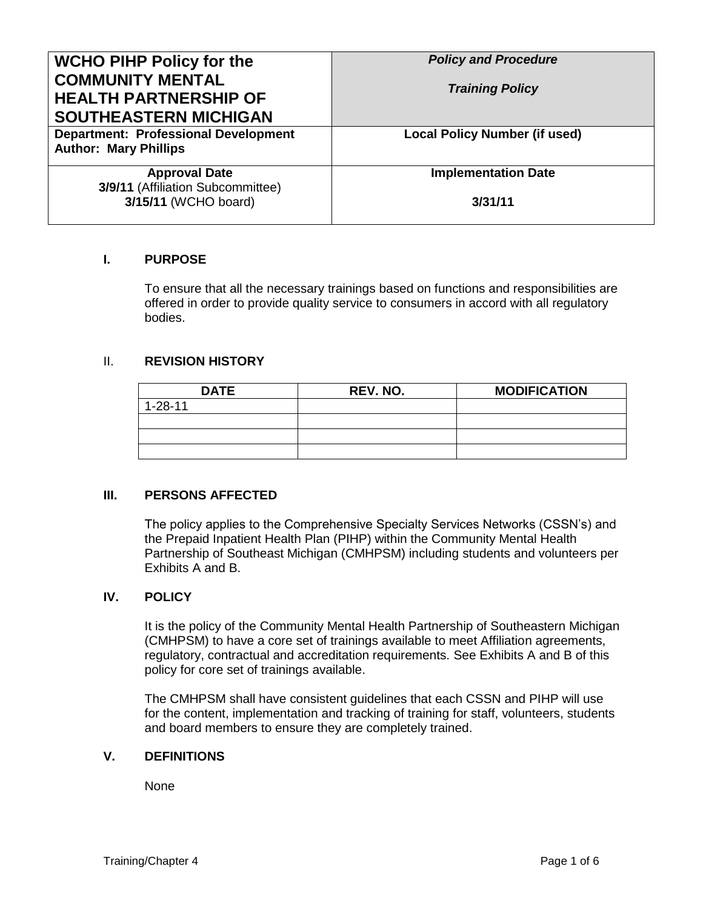| <b>WCHO PIHP Policy for the</b><br><b>COMMUNITY MENTAL</b><br><b>HEALTH PARTNERSHIP OF</b><br><b>SOUTHEASTERN MICHIGAN</b> | <b>Policy and Procedure</b><br><b>Training Policy</b> |
|----------------------------------------------------------------------------------------------------------------------------|-------------------------------------------------------|
| <b>Department: Professional Development</b><br><b>Author: Mary Phillips</b>                                                | <b>Local Policy Number (if used)</b>                  |
| <b>Approval Date</b><br>3/9/11 (Affiliation Subcommittee)                                                                  | <b>Implementation Date</b>                            |
| 3/15/11 (WCHO board)                                                                                                       | 3/31/11                                               |

### **I. PURPOSE**

To ensure that all the necessary trainings based on functions and responsibilities are offered in order to provide quality service to consumers in accord with all regulatory bodies.

#### II. **REVISION HISTORY**

| <b>DATE</b>   | REV. NO. | <b>MODIFICATION</b> |
|---------------|----------|---------------------|
| $1 - 28 - 11$ |          |                     |
|               |          |                     |
|               |          |                     |
|               |          |                     |

### **III. PERSONS AFFECTED**

The policy applies to the Comprehensive Specialty Services Networks (CSSN's) and the Prepaid Inpatient Health Plan (PIHP) within the Community Mental Health Partnership of Southeast Michigan (CMHPSM) including students and volunteers per Exhibits A and B.

#### **IV. POLICY**

It is the policy of the Community Mental Health Partnership of Southeastern Michigan (CMHPSM) to have a core set of trainings available to meet Affiliation agreements, regulatory, contractual and accreditation requirements. See Exhibits A and B of this policy for core set of trainings available.

The CMHPSM shall have consistent guidelines that each CSSN and PIHP will use for the content, implementation and tracking of training for staff, volunteers, students and board members to ensure they are completely trained.

#### **V. DEFINITIONS**

None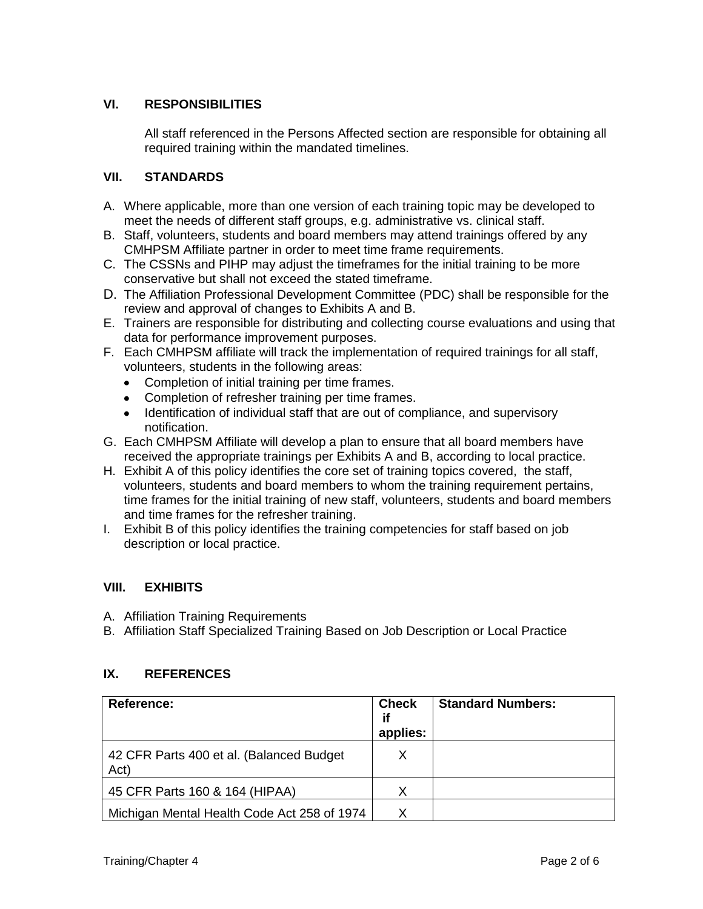### **VI. RESPONSIBILITIES**

All staff referenced in the Persons Affected section are responsible for obtaining all required training within the mandated timelines.

### **VII. STANDARDS**

- A. Where applicable, more than one version of each training topic may be developed to meet the needs of different staff groups, e.g. administrative vs. clinical staff.
- B. Staff, volunteers, students and board members may attend trainings offered by any CMHPSM Affiliate partner in order to meet time frame requirements.
- C. The CSSNs and PIHP may adjust the timeframes for the initial training to be more conservative but shall not exceed the stated timeframe.
- D. The Affiliation Professional Development Committee (PDC) shall be responsible for the review and approval of changes to Exhibits A and B.
- E. Trainers are responsible for distributing and collecting course evaluations and using that data for performance improvement purposes.
- F. Each CMHPSM affiliate will track the implementation of required trainings for all staff, volunteers, students in the following areas:
	- Completion of initial training per time frames.  $\bullet$
	- Completion of refresher training per time frames.
	- Identification of individual staff that are out of compliance, and supervisory notification.
- G. Each CMHPSM Affiliate will develop a plan to ensure that all board members have received the appropriate trainings per Exhibits A and B, according to local practice.
- H. Exhibit A of this policy identifies the core set of training topics covered, the staff, volunteers, students and board members to whom the training requirement pertains, time frames for the initial training of new staff, volunteers, students and board members and time frames for the refresher training.
- I. Exhibit B of this policy identifies the training competencies for staff based on job description or local practice.

### **VIII. EXHIBITS**

A. Affiliation Training Requirements

B. Affiliation Staff Specialized Training Based on Job Description or Local Practice

### **IX. REFERENCES**

| <b>Reference:</b>                                | <b>Check</b><br>if<br>applies: | <b>Standard Numbers:</b> |
|--------------------------------------------------|--------------------------------|--------------------------|
| 42 CFR Parts 400 et al. (Balanced Budget<br>Act) | X                              |                          |
| 45 CFR Parts 160 & 164 (HIPAA)                   | Х                              |                          |
| Michigan Mental Health Code Act 258 of 1974      | x                              |                          |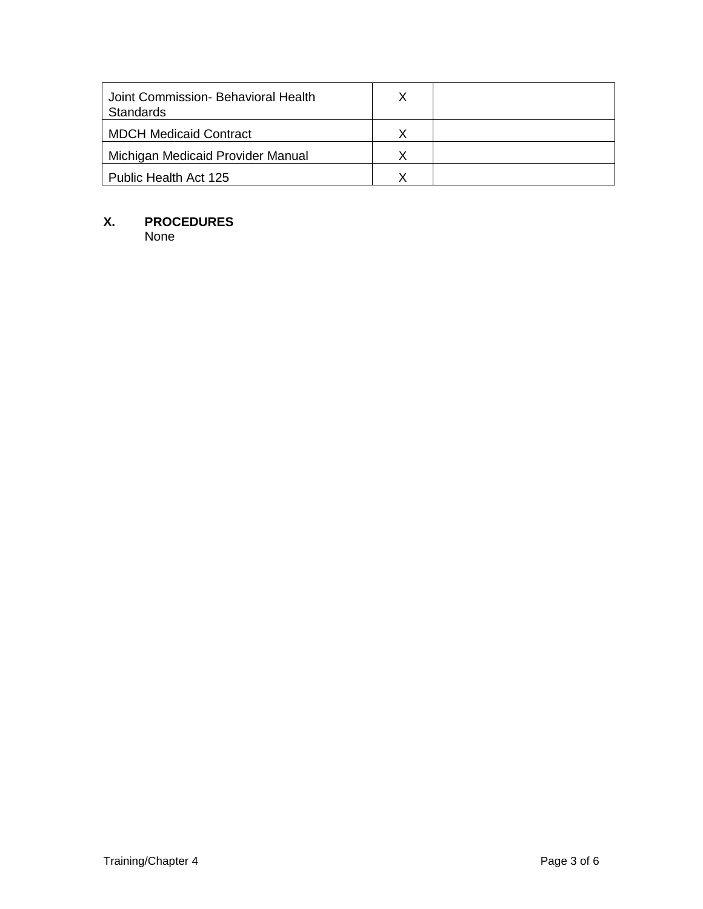| Joint Commission- Behavioral Health<br>Standards |  |
|--------------------------------------------------|--|
| <b>MDCH Medicaid Contract</b>                    |  |
| Michigan Medicaid Provider Manual                |  |
| Public Health Act 125                            |  |

# **X. PROCEDURES**

None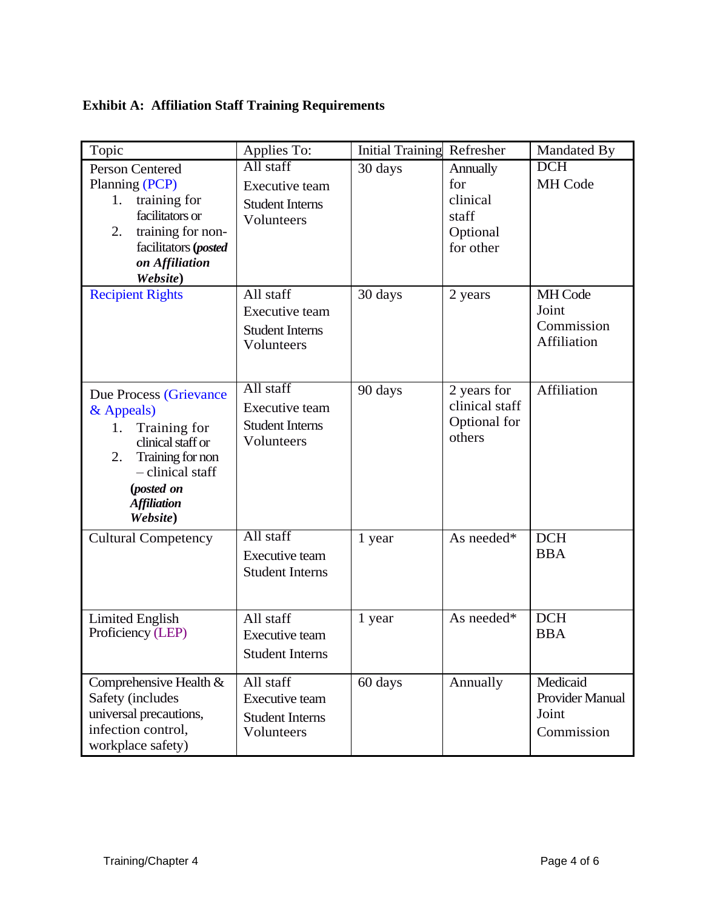## **Exhibit A: Affiliation Staff Training Requirements**

| Topic                                                                                                                                                                         | Applies To:                                                                | <b>Initial Training Refresher</b> |                                                               | Mandated By                                               |
|-------------------------------------------------------------------------------------------------------------------------------------------------------------------------------|----------------------------------------------------------------------------|-----------------------------------|---------------------------------------------------------------|-----------------------------------------------------------|
| <b>Person Centered</b><br>Planning (PCP)<br>training for<br>1.<br>facilitators or<br>training for non-<br>2.<br>facilitators (posted<br>on Affiliation<br>Website)            | All staff<br><b>Executive team</b><br><b>Student Interns</b><br>Volunteers | 30 days                           | Annually<br>for<br>clinical<br>staff<br>Optional<br>for other | <b>DCH</b><br>MH Code                                     |
| <b>Recipient Rights</b>                                                                                                                                                       | All staff<br><b>Executive team</b><br><b>Student Interns</b><br>Volunteers | 30 days                           | 2 years                                                       | MH Code<br>Joint<br>Commission<br>Affiliation             |
| Due Process (Grievance<br>& Appeals)<br>Training for<br>1.<br>clinical staff or<br>Training for non<br>2.<br>- clinical staff<br>(posted on<br><b>Affiliation</b><br>Website) | All staff<br><b>Executive team</b><br><b>Student Interns</b><br>Volunteers | 90 days                           | 2 years for<br>clinical staff<br>Optional for<br>others       | Affiliation                                               |
| <b>Cultural Competency</b>                                                                                                                                                    | All staff<br><b>Executive team</b><br><b>Student Interns</b>               | 1 year                            | As needed*                                                    | <b>DCH</b><br><b>BBA</b>                                  |
| <b>Limited English</b><br>Proficiency (LEP)                                                                                                                                   | All staff<br><b>Executive team</b><br><b>Student Interns</b>               | 1 year                            | As needed*                                                    | <b>DCH</b><br><b>BBA</b>                                  |
| Comprehensive Health &<br>Safety (includes<br>universal precautions,<br>infection control,<br>workplace safety)                                                               | All staff<br>Executive team<br><b>Student Interns</b><br>Volunteers        | 60 days                           | Annually                                                      | Medicaid<br><b>Provider Manual</b><br>Joint<br>Commission |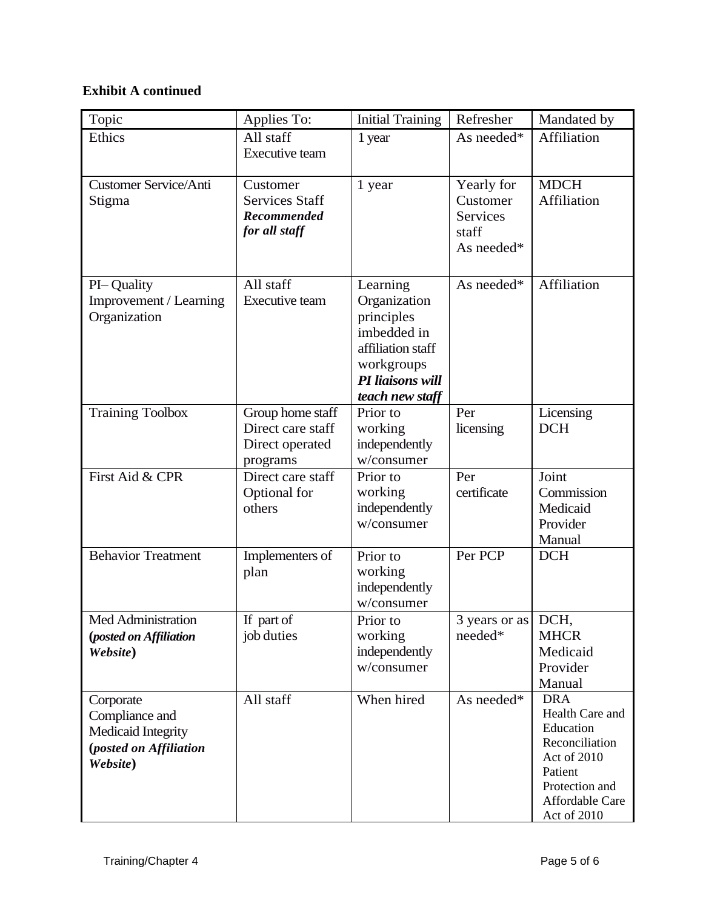# **Exhibit A continued**

| Topic                                                                                          | Applies To:                                                          | <b>Initial Training</b>                                                                                                         | Refresher                                                        | Mandated by                                                                                                                                |
|------------------------------------------------------------------------------------------------|----------------------------------------------------------------------|---------------------------------------------------------------------------------------------------------------------------------|------------------------------------------------------------------|--------------------------------------------------------------------------------------------------------------------------------------------|
| Ethics                                                                                         | All staff<br>Executive team                                          | 1 year                                                                                                                          | As needed*                                                       | <b>Affiliation</b>                                                                                                                         |
| <b>Customer Service/Anti</b><br>Stigma                                                         | Customer<br><b>Services Staff</b><br>Recommended<br>for all staff    | 1 year                                                                                                                          | Yearly for<br>Customer<br><b>Services</b><br>staff<br>As needed* | <b>MDCH</b><br>Affiliation                                                                                                                 |
| PI-Quality<br>Improvement / Learning<br>Organization                                           | All staff<br><b>Executive team</b>                                   | Learning<br>Organization<br>principles<br>imbedded in<br>affiliation staff<br>workgroups<br>PI liaisons will<br>teach new staff | As needed*                                                       | Affiliation                                                                                                                                |
| <b>Training Toolbox</b>                                                                        | Group home staff<br>Direct care staff<br>Direct operated<br>programs | Prior to<br>working<br>independently<br>w/consumer                                                                              | Per<br>licensing                                                 | Licensing<br><b>DCH</b>                                                                                                                    |
| First Aid & CPR                                                                                | Direct care staff<br>Optional for<br>others                          | Prior to<br>working<br>independently<br>w/consumer                                                                              | Per<br>certificate                                               | Joint<br>Commission<br>Medicaid<br>Provider<br>Manual                                                                                      |
| <b>Behavior Treatment</b>                                                                      | Implementers of<br>plan                                              | Prior to<br>working<br>independently<br>w/consumer                                                                              | Per PCP                                                          | <b>DCH</b>                                                                                                                                 |
| Med Administration<br>(posted on Affiliation<br>Website)                                       | If part of<br>job duties                                             | Prior to<br>working<br>independently<br>w/consumer                                                                              | 3 years or as DCH,<br>needed*                                    | <b>MHCR</b><br>Medicaid<br>Provider<br>Manual                                                                                              |
| Corporate<br>Compliance and<br>Medicaid Integrity<br><i>(posted on Affiliation</i><br>Website) | All staff                                                            | When hired                                                                                                                      | As needed*                                                       | <b>DRA</b><br>Health Care and<br>Education<br>Reconciliation<br>Act of 2010<br>Patient<br>Protection and<br>Affordable Care<br>Act of 2010 |